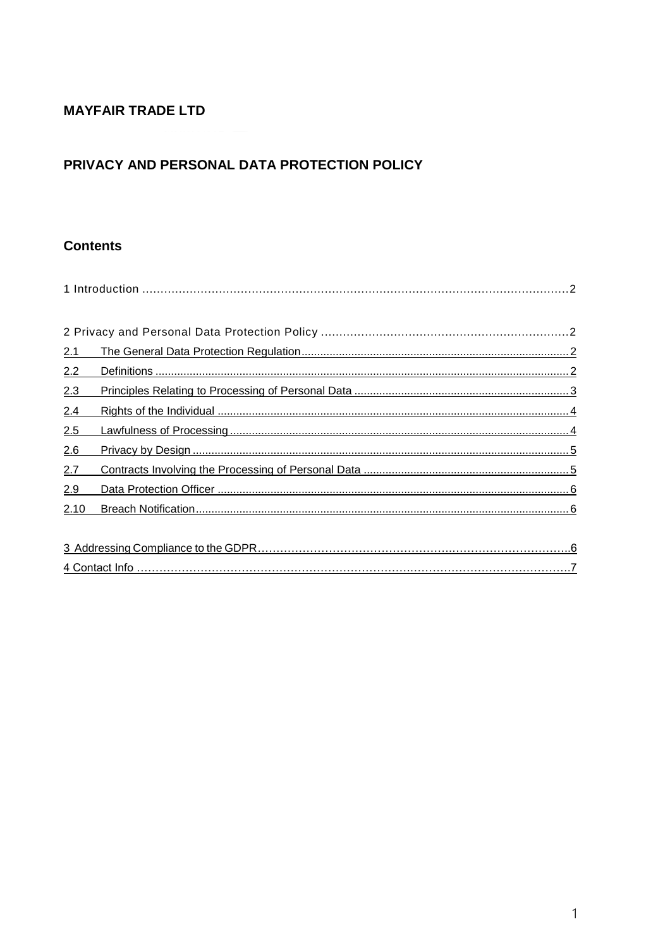# **MAYFAIR TRADE LTD**

# PRIVACY AND PERSONAL DATA PROTECTION POLICY

#### **Contents**

| 2.1  |  |
|------|--|
| 2.2  |  |
| 2.3  |  |
| 2.4  |  |
| 2.5  |  |
| 2.6  |  |
| 2.7  |  |
| 2.9  |  |
| 2.10 |  |
|      |  |
|      |  |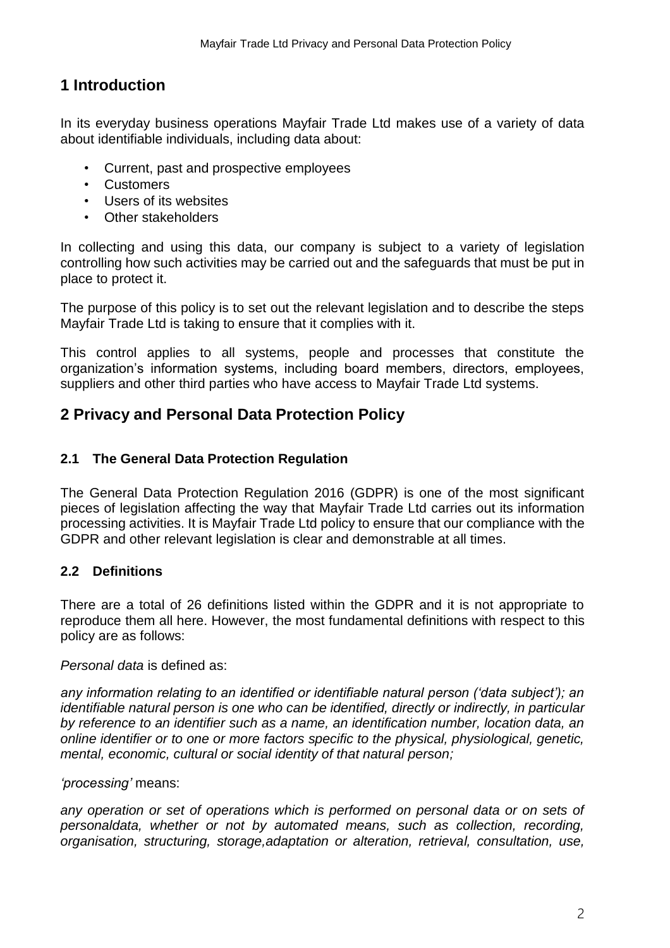# <span id="page-1-0"></span>**1 Introduction**

In its everyday business operations Mayfair Trade Ltd makes use of a variety of data about identifiable individuals, including data about:

- Current, past and prospective employees
- Customers
- Users of its websites
- Other stakeholders

In collecting and using this data, our company is subject to a variety of legislation controlling how such activities may be carried out and the safeguards that must be put in place to protect it.

The purpose of this policy is to set out the relevant legislation and to describe the steps Mayfair Trade Ltd is taking to ensure that it complies with it.

This control applies to all systems, people and processes that constitute the organization's information systems, including board members, directors, employees, suppliers and other third parties who have access to Mayfair Trade Ltd systems.

# <span id="page-1-1"></span>**2 Privacy and Personal Data Protection Policy**

#### <span id="page-1-2"></span>**2.1 The General Data Protection Regulation**

The General Data Protection Regulation 2016 (GDPR) is one of the most significant pieces of legislation affecting the way that Mayfair Trade Ltd carries out its information processing activities. It is Mayfair Trade Ltd policy to ensure that our compliance with the GDPR and other relevant legislation is clear and demonstrable at all times.

#### <span id="page-1-3"></span>**2.2 Definitions**

There are a total of 26 definitions listed within the GDPR and it is not appropriate to reproduce them all here. However, the most fundamental definitions with respect to this policy are as follows:

#### *Personal data* is defined as:

*any information relating to an identified or identifiable natural person ('data subject'); an identifiable natural person is one who can be identified, directly or indirectly, in particular by reference to an identifier such as a name, an identification number, location data, an online identifier or to one or more factors specific to the physical, physiological, genetic, mental, economic, cultural or social identity of that natural person;*

#### *'processing'* means:

any operation or set of operations which is performed on personal data or on sets of *personaldata, whether or not by automated means, such as collection, recording, organisation, structuring, storage,adaptation or alteration, retrieval, consultation, use,*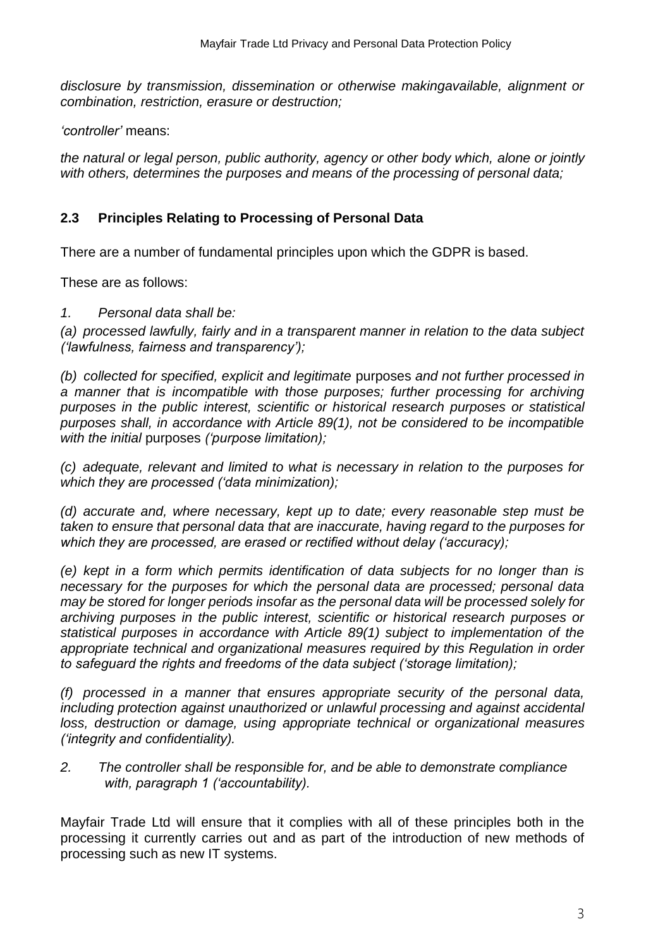*disclosure by transmission, dissemination or otherwise makingavailable, alignment or combination, restriction, erasure or destruction;*

*'controller'* means:

*the natural or legal person, public authority, agency or other body which, alone or jointly with others, determines the purposes and means of the processing of personal data;* 

#### <span id="page-2-0"></span>**2.3 Principles Relating to Processing of Personal Data**

There are a number of fundamental principles upon which the GDPR is based.

These are as follows:

#### *1. Personal data shall be:*

*(a) processed lawfully, fairly and in a transparent manner in relation to the data subject ('lawfulness, fairness and transparency');*

*(b) collected for specified, explicit and legitimate* purposes *and not further processed in a manner that is incompatible with those purposes; further processing for archiving purposes in the public interest, scientific or historical research purposes or statistical purposes shall, in accordance with Article 89(1), not be considered to be incompatible with the initial* purposes *('purpose limitation);*

*(c) adequate, relevant and limited to what is necessary in relation to the purposes for which they are processed ('data minimization);*

*(d) accurate and, where necessary, kept up to date; every reasonable step must be taken to ensure that personal data that are inaccurate, having regard to the purposes for which they are processed, are erased or rectified without delay ('accuracy);*

*(e) kept in a form which permits identification of data subjects for no longer than is necessary for the purposes for which the personal data are processed; personal data may be stored for longer periods insofar as the personal data will be processed solely for archiving purposes in the public interest, scientific or historical research purposes or statistical purposes in accordance with Article 89(1) subject to implementation of the appropriate technical and organizational measures required by this Regulation in order to safeguard the rights and freedoms of the data subject ('storage limitation);*

*(f) processed in a manner that ensures appropriate security of the personal data, including protection against unauthorized or unlawful processing and against accidental loss, destruction or damage, using appropriate technical or organizational measures ('integrity and confidentiality).*

*2. The controller shall be responsible for, and be able to demonstrate compliance with, paragraph 1 ('accountability).*

Mayfair Trade Ltd will ensure that it complies with all of these principles both in the processing it currently carries out and as part of the introduction of new methods of processing such as new IT systems.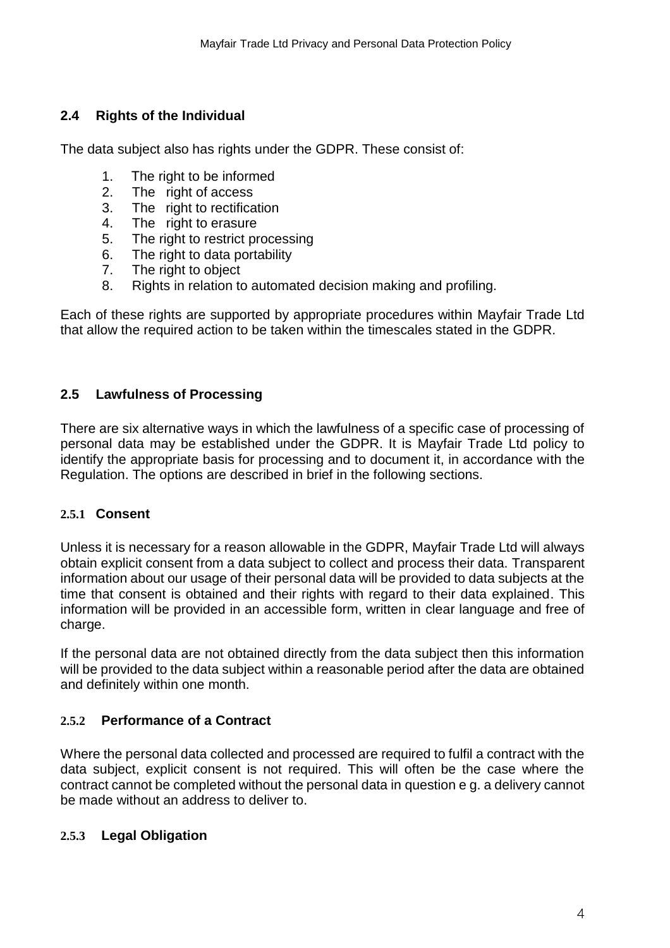#### <span id="page-3-0"></span>**2.4 Rights of the Individual**

The data subject also has rights under the GDPR. These consist of:

- 1. Τhe right to be informed
- 2. The right of access
- 3. The right to rectification
- 4. The right to erasure
- 5. The right to restrict processing
- 6. The right to data portability
- 7. The right to object
- 8. Rights in relation to automated decision making and profiling.

Each of these rights are supported by appropriate procedures within Mayfair Trade Ltd that allow the required action to be taken within the timescales stated in the GDPR.

#### <span id="page-3-1"></span>**2.5 Lawfulness of Processing**

There are six alternative ways in which the lawfulness of a specific case of processing of personal data may be established under the GDPR. It is Mayfair Trade Ltd policy to identify the appropriate basis for processing and to document it, in accordance with the Regulation. The options are described in brief in the following sections.

#### **2.5.1 Consent**

Unless it is necessary for a reason allowable in the GDPR, Mayfair Trade Ltd will always obtain explicit consent from a data subject to collect and process their data. Transparent information about our usage of their personal data will be provided to data subjects at the time that consent is obtained and their rights with regard to their data explained. This information will be provided in an accessible form, written in clear language and free of charge.

If the personal data are not obtained directly from the data subject then this information will be provided to the data subject within a reasonable period after the data are obtained and definitely within one month.

#### **2.5.2 Performance of a Contract**

Where the personal data collected and processed are required to fulfil a contract with the data subject, explicit consent is not required. This will often be the case where the contract cannot be completed without the personal data in question e g. a delivery cannot be made without an address to deliver to.

#### **2.5.3 Legal Obligation**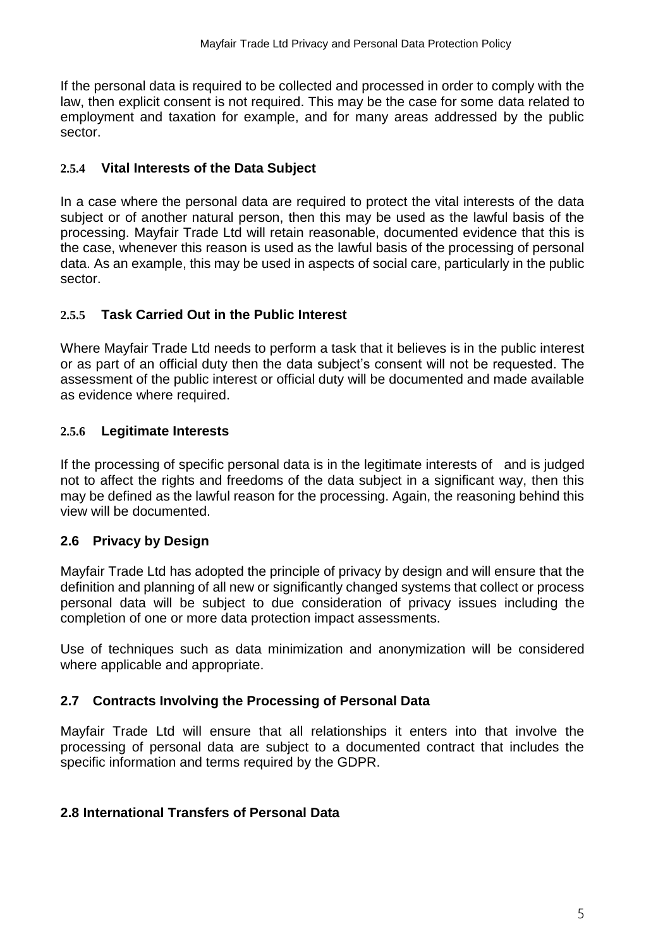If the personal data is required to be collected and processed in order to comply with the law, then explicit consent is not required. This may be the case for some data related to employment and taxation for example, and for many areas addressed by the public sector.

#### **2.5.4 Vital Interests of the Data Subject**

In a case where the personal data are required to protect the vital interests of the data subject or of another natural person, then this may be used as the lawful basis of the processing. Mayfair Trade Ltd will retain reasonable, documented evidence that this is the case, whenever this reason is used as the lawful basis of the processing of personal data. As an example, this may be used in aspects of social care, particularly in the public sector.

#### **2.5.5 Task Carried Out in the Public Interest**

Where Mayfair Trade Ltd needs to perform a task that it believes is in the public interest or as part of an official duty then the data subject's consent will not be requested. The assessment of the public interest or official duty will be documented and made available as evidence where required.

#### **2.5.6 Legitimate Interests**

If the processing of specific personal data is in the legitimate interests of and is judged not to affect the rights and freedoms of the data subject in a significant way, then this may be defined as the lawful reason for the processing. Again, the reasoning behind this view will be documented.

### <span id="page-4-0"></span>**2.6 Privacy by Design**

Mayfair Trade Ltd has adopted the principle of privacy by design and will ensure that the definition and planning of all new or significantly changed systems that collect or process personal data will be subject to due consideration of privacy issues including the completion of one or more data protection impact assessments.

Use of techniques such as data minimization and anonymization will be considered where applicable and appropriate.

#### <span id="page-4-1"></span>**2.7 Contracts Involving the Processing of Personal Data**

Mayfair Trade Ltd will ensure that all relationships it enters into that involve the processing of personal data are subject to a documented contract that includes the specific information and terms required by the GDPR.

#### **2.8 International Transfers of Personal Data**